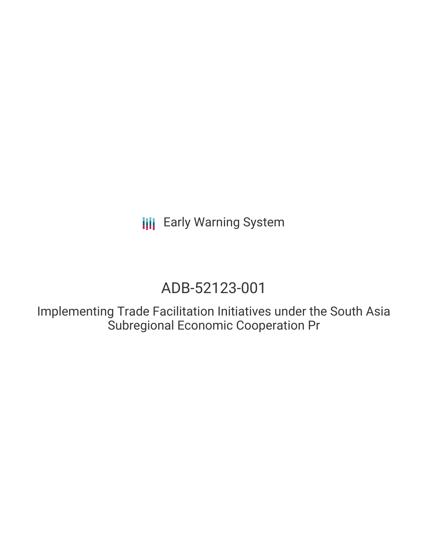# ADB-52123-001

Implementing Trade Facilitation Initiatives under the South Asia Subregional Economic Cooperation Pr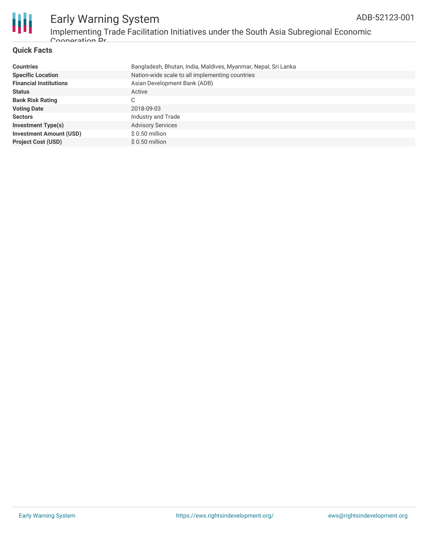

### Early Warning System Implementing Trade Facilitation Initiatives under the South Asia Subregional Economic Cooperation Pr

### **Quick Facts**

| <b>Countries</b>               | Bangladesh, Bhutan, India, Maldives, Myanmar, Nepal, Sri Lanka |
|--------------------------------|----------------------------------------------------------------|
| <b>Specific Location</b>       | Nation-wide scale to all implementing countries                |
| <b>Financial Institutions</b>  | Asian Development Bank (ADB)                                   |
| <b>Status</b>                  | Active                                                         |
| <b>Bank Risk Rating</b>        | C                                                              |
| <b>Voting Date</b>             | 2018-09-03                                                     |
| <b>Sectors</b>                 | Industry and Trade                                             |
| <b>Investment Type(s)</b>      | <b>Advisory Services</b>                                       |
| <b>Investment Amount (USD)</b> | $$0.50$ million                                                |
| <b>Project Cost (USD)</b>      | $$0.50$ million                                                |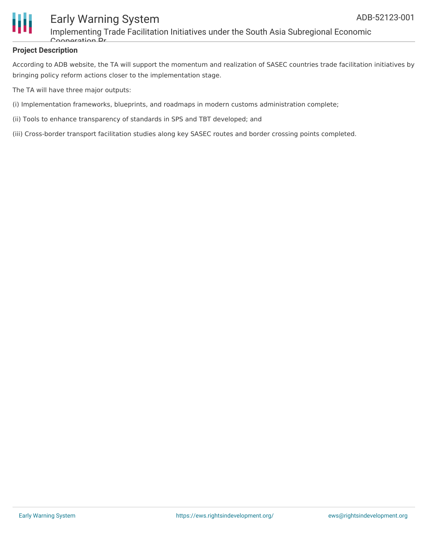

Implementing Trade Facilitation Initiatives under the South Asia Subregional Economic Cooperation Pr

### **Project Description**

According to ADB website, the TA will support the momentum and realization of SASEC countries trade facilitation initiatives by bringing policy reform actions closer to the implementation stage.

The TA will have three major outputs:

- (i) Implementation frameworks, blueprints, and roadmaps in modern customs administration complete;
- (ii) Tools to enhance transparency of standards in SPS and TBT developed; and
- (iii) Cross-border transport facilitation studies along key SASEC routes and border crossing points completed.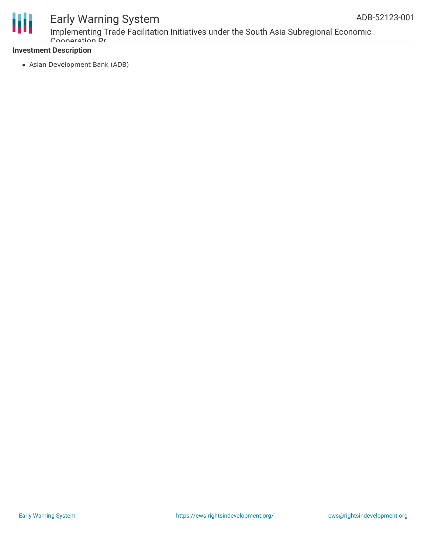

Implementing Trade Facilitation Initiatives under the South Asia Subregional Economic Cooperation Pr

### **Investment Description**

Asian Development Bank (ADB)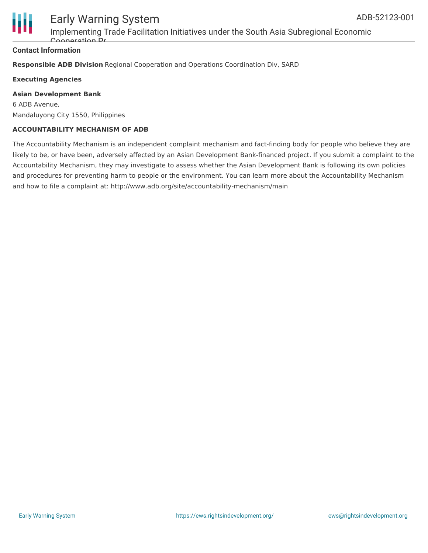

Implementing Trade Facilitation Initiatives under the South Asia Subregional Economic Cooperation Pr

### **Contact Information**

**Responsible ADB Division** Regional Cooperation and Operations Coordination Div, SARD

**Executing Agencies**

### **Asian Development Bank**

6 ADB Avenue, Mandaluyong City 1550, Philippines

### **ACCOUNTABILITY MECHANISM OF ADB**

The Accountability Mechanism is an independent complaint mechanism and fact-finding body for people who believe they are likely to be, or have been, adversely affected by an Asian Development Bank-financed project. If you submit a complaint to the Accountability Mechanism, they may investigate to assess whether the Asian Development Bank is following its own policies and procedures for preventing harm to people or the environment. You can learn more about the Accountability Mechanism and how to file a complaint at: http://www.adb.org/site/accountability-mechanism/main